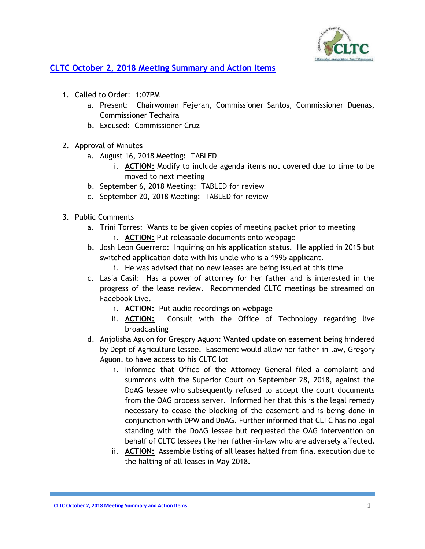

## **CLTC October 2, 2018 Meeting Summary and Action Items**

- 1. Called to Order: 1:07PM
	- a. Present: Chairwoman Fejeran, Commissioner Santos, Commissioner Duenas, Commissioner Techaira
	- b. Excused: Commissioner Cruz
- 2. Approval of Minutes
	- a. August 16, 2018 Meeting: TABLED
		- i. **ACTION:** Modify to include agenda items not covered due to time to be moved to next meeting
	- b. September 6, 2018 Meeting: TABLED for review
	- c. September 20, 2018 Meeting: TABLED for review
- 3. Public Comments
	- a. Trini Torres: Wants to be given copies of meeting packet prior to meeting
		- i. **ACTION:** Put releasable documents onto webpage
	- b. Josh Leon Guerrero: Inquiring on his application status. He applied in 2015 but switched application date with his uncle who is a 1995 applicant.
		- i. He was advised that no new leases are being issued at this time
	- c. Lasia Casil: Has a power of attorney for her father and is interested in the progress of the lease review. Recommended CLTC meetings be streamed on Facebook Live.
		- i. **ACTION:** Put audio recordings on webpage
		- ii. **ACTION:** Consult with the Office of Technology regarding live broadcasting
	- d. Anjolisha Aguon for Gregory Aguon: Wanted update on easement being hindered by Dept of Agriculture lessee. Easement would allow her father-in-law, Gregory Aguon, to have access to his CLTC lot
		- i. Informed that Office of the Attorney General filed a complaint and summons with the Superior Court on September 28, 2018, against the DoAG lessee who subsequently refused to accept the court documents from the OAG process server. Informed her that this is the legal remedy necessary to cease the blocking of the easement and is being done in conjunction with DPW and DoAG. Further informed that CLTC has no legal standing with the DoAG lessee but requested the OAG intervention on behalf of CLTC lessees like her father-in-law who are adversely affected.
		- ii. **ACTION:** Assemble listing of all leases halted from final execution due to the halting of all leases in May 2018.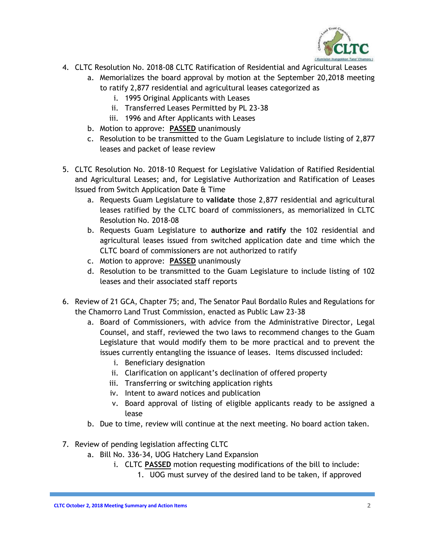

- 4. CLTC Resolution No. 2018-08 CLTC Ratification of Residential and Agricultural Leases
	- a. Memorializes the board approval by motion at the September 20,2018 meeting to ratify 2,877 residential and agricultural leases categorized as
		- i. 1995 Original Applicants with Leases
		- ii. Transferred Leases Permitted by PL 23-38
		- iii. 1996 and After Applicants with Leases
	- b. Motion to approve: **PASSED** unanimously
	- c. Resolution to be transmitted to the Guam Legislature to include listing of 2,877 leases and packet of lease review
- 5. CLTC Resolution No. 2018-10 Request for Legislative Validation of Ratified Residential and Agricultural Leases; and, for Legislative Authorization and Ratification of Leases Issued from Switch Application Date & Time
	- a. Requests Guam Legislature to **validate** those 2,877 residential and agricultural leases ratified by the CLTC board of commissioners, as memorialized in CLTC Resolution No. 2018-08
	- b. Requests Guam Legislature to **authorize and ratify** the 102 residential and agricultural leases issued from switched application date and time which the CLTC board of commissioners are not authorized to ratify
	- c. Motion to approve: **PASSED** unanimously
	- d. Resolution to be transmitted to the Guam Legislature to include listing of 102 leases and their associated staff reports
- 6. Review of 21 GCA, Chapter 75; and, The Senator Paul Bordallo Rules and Regulations for the Chamorro Land Trust Commission, enacted as Public Law 23-38
	- a. Board of Commissioners, with advice from the Administrative Director, Legal Counsel, and staff, reviewed the two laws to recommend changes to the Guam Legislature that would modify them to be more practical and to prevent the issues currently entangling the issuance of leases. Items discussed included:
		- i. Beneficiary designation
		- ii. Clarification on applicant's declination of offered property
		- iii. Transferring or switching application rights
		- iv. Intent to award notices and publication
		- v. Board approval of listing of eligible applicants ready to be assigned a lease
	- b. Due to time, review will continue at the next meeting. No board action taken.
- 7. Review of pending legislation affecting CLTC
	- a. Bill No. 336-34, UOG Hatchery Land Expansion
		- i. CLTC **PASSED** motion requesting modifications of the bill to include:
			- 1. UOG must survey of the desired land to be taken, if approved